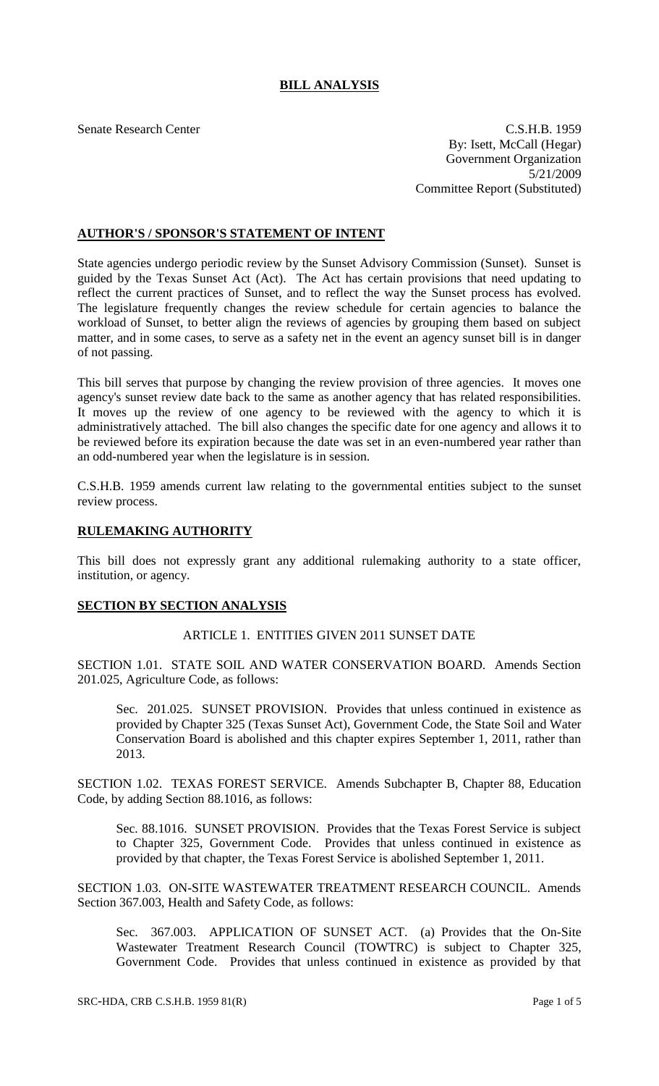# **BILL ANALYSIS**

Senate Research Center C.S.H.B. 1959 By: Isett, McCall (Hegar) Government Organization 5/21/2009 Committee Report (Substituted)

# **AUTHOR'S / SPONSOR'S STATEMENT OF INTENT**

State agencies undergo periodic review by the Sunset Advisory Commission (Sunset). Sunset is guided by the Texas Sunset Act (Act). The Act has certain provisions that need updating to reflect the current practices of Sunset, and to reflect the way the Sunset process has evolved. The legislature frequently changes the review schedule for certain agencies to balance the workload of Sunset, to better align the reviews of agencies by grouping them based on subject matter, and in some cases, to serve as a safety net in the event an agency sunset bill is in danger of not passing.

This bill serves that purpose by changing the review provision of three agencies. It moves one agency's sunset review date back to the same as another agency that has related responsibilities. It moves up the review of one agency to be reviewed with the agency to which it is administratively attached. The bill also changes the specific date for one agency and allows it to be reviewed before its expiration because the date was set in an even-numbered year rather than an odd-numbered year when the legislature is in session.

C.S.H.B. 1959 amends current law relating to the governmental entities subject to the sunset review process.

### **RULEMAKING AUTHORITY**

This bill does not expressly grant any additional rulemaking authority to a state officer, institution, or agency.

### **SECTION BY SECTION ANALYSIS**

# ARTICLE 1. ENTITIES GIVEN 2011 SUNSET DATE

SECTION 1.01. STATE SOIL AND WATER CONSERVATION BOARD. Amends Section 201.025, Agriculture Code, as follows:

Sec. 201.025. SUNSET PROVISION. Provides that unless continued in existence as provided by Chapter 325 (Texas Sunset Act), Government Code, the State Soil and Water Conservation Board is abolished and this chapter expires September 1, 2011, rather than 2013.

SECTION 1.02. TEXAS FOREST SERVICE. Amends Subchapter B, Chapter 88, Education Code, by adding Section 88.1016, as follows:

Sec. 88.1016. SUNSET PROVISION. Provides that the Texas Forest Service is subject to Chapter 325, Government Code. Provides that unless continued in existence as provided by that chapter, the Texas Forest Service is abolished September 1, 2011.

SECTION 1.03. ON-SITE WASTEWATER TREATMENT RESEARCH COUNCIL. Amends Section 367.003, Health and Safety Code, as follows:

Sec. 367.003. APPLICATION OF SUNSET ACT. (a) Provides that the On-Site Wastewater Treatment Research Council (TOWTRC) is subject to Chapter 325, Government Code. Provides that unless continued in existence as provided by that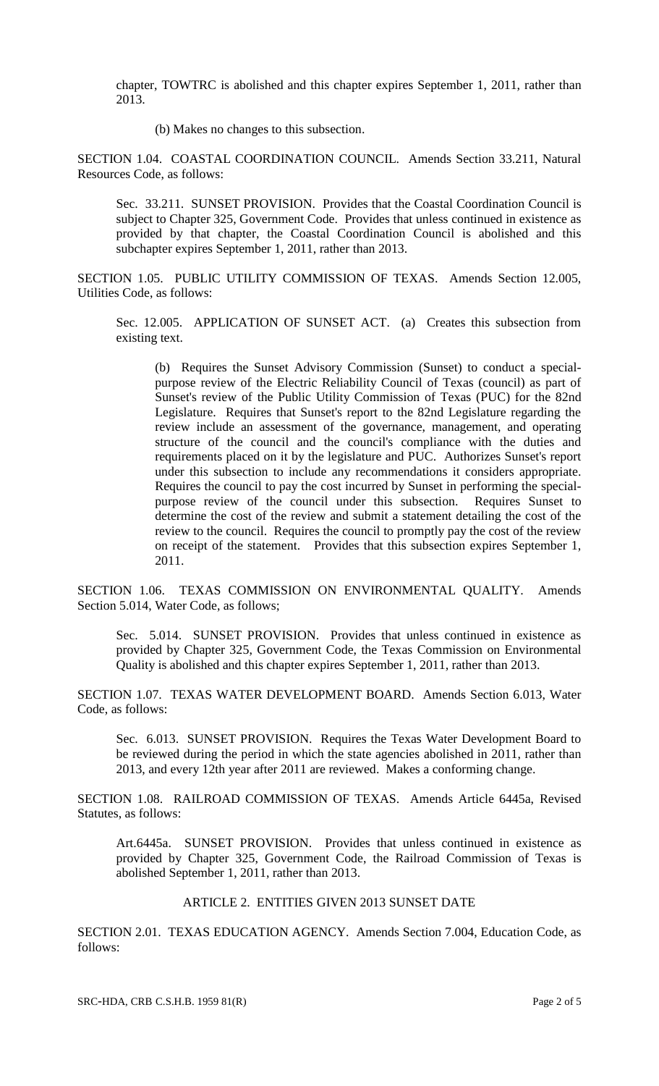chapter, TOWTRC is abolished and this chapter expires September 1, 2011, rather than 2013.

(b) Makes no changes to this subsection.

SECTION 1.04. COASTAL COORDINATION COUNCIL. Amends Section 33.211, Natural Resources Code, as follows:

Sec. 33.211. SUNSET PROVISION. Provides that the Coastal Coordination Council is subject to Chapter 325, Government Code. Provides that unless continued in existence as provided by that chapter, the Coastal Coordination Council is abolished and this subchapter expires September 1, 2011, rather than 2013.

SECTION 1.05. PUBLIC UTILITY COMMISSION OF TEXAS. Amends Section 12.005, Utilities Code, as follows:

Sec. 12.005. APPLICATION OF SUNSET ACT. (a) Creates this subsection from existing text.

(b) Requires the Sunset Advisory Commission (Sunset) to conduct a specialpurpose review of the Electric Reliability Council of Texas (council) as part of Sunset's review of the Public Utility Commission of Texas (PUC) for the 82nd Legislature. Requires that Sunset's report to the 82nd Legislature regarding the review include an assessment of the governance, management, and operating structure of the council and the council's compliance with the duties and requirements placed on it by the legislature and PUC. Authorizes Sunset's report under this subsection to include any recommendations it considers appropriate. Requires the council to pay the cost incurred by Sunset in performing the specialpurpose review of the council under this subsection. Requires Sunset to determine the cost of the review and submit a statement detailing the cost of the review to the council. Requires the council to promptly pay the cost of the review on receipt of the statement. Provides that this subsection expires September 1, 2011.

SECTION 1.06. TEXAS COMMISSION ON ENVIRONMENTAL QUALITY. Amends Section 5.014, Water Code, as follows;

Sec. 5.014. SUNSET PROVISION. Provides that unless continued in existence as provided by Chapter 325, Government Code, the Texas Commission on Environmental Quality is abolished and this chapter expires September 1, 2011, rather than 2013.

SECTION 1.07. TEXAS WATER DEVELOPMENT BOARD. Amends Section 6.013, Water Code, as follows:

Sec. 6.013. SUNSET PROVISION. Requires the Texas Water Development Board to be reviewed during the period in which the state agencies abolished in 2011, rather than 2013, and every 12th year after 2011 are reviewed. Makes a conforming change.

SECTION 1.08. RAILROAD COMMISSION OF TEXAS. Amends Article 6445a, Revised Statutes, as follows:

Art.6445a. SUNSET PROVISION. Provides that unless continued in existence as provided by Chapter 325, Government Code, the Railroad Commission of Texas is abolished September 1, 2011, rather than 2013.

### ARTICLE 2. ENTITIES GIVEN 2013 SUNSET DATE

SECTION 2.01. TEXAS EDUCATION AGENCY. Amends Section 7.004, Education Code, as follows: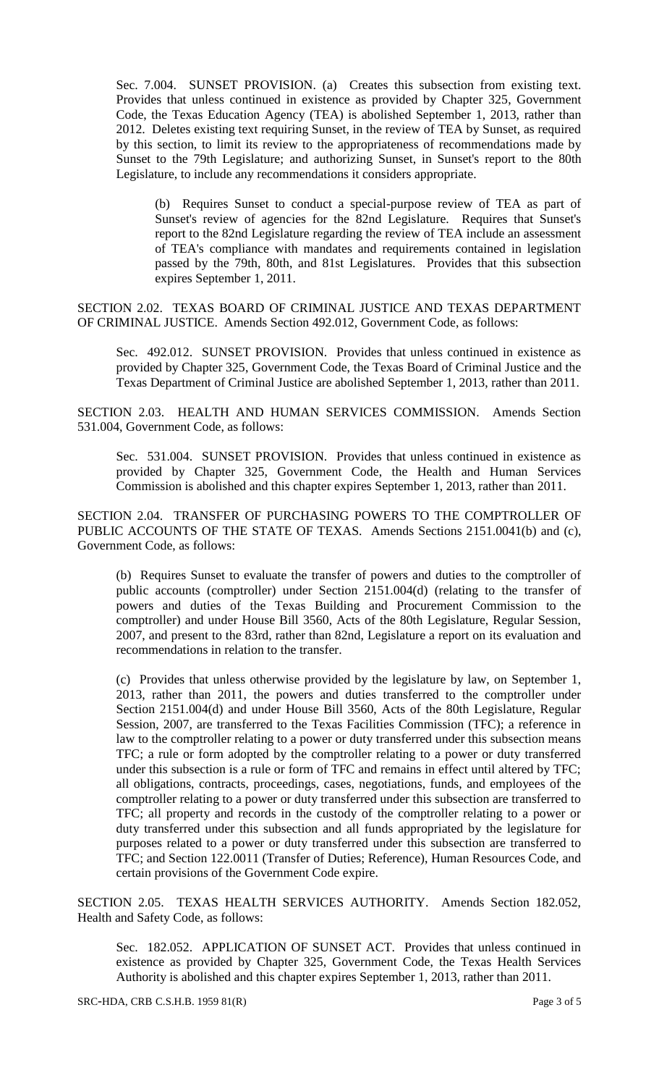Sec. 7.004. SUNSET PROVISION. (a) Creates this subsection from existing text. Provides that unless continued in existence as provided by Chapter 325, Government Code, the Texas Education Agency (TEA) is abolished September 1, 2013, rather than 2012. Deletes existing text requiring Sunset, in the review of TEA by Sunset, as required by this section, to limit its review to the appropriateness of recommendations made by Sunset to the 79th Legislature; and authorizing Sunset, in Sunset's report to the 80th Legislature, to include any recommendations it considers appropriate.

(b) Requires Sunset to conduct a special-purpose review of TEA as part of Sunset's review of agencies for the 82nd Legislature. Requires that Sunset's report to the 82nd Legislature regarding the review of TEA include an assessment of TEA's compliance with mandates and requirements contained in legislation passed by the 79th, 80th, and 81st Legislatures. Provides that this subsection expires September 1, 2011.

SECTION 2.02. TEXAS BOARD OF CRIMINAL JUSTICE AND TEXAS DEPARTMENT OF CRIMINAL JUSTICE. Amends Section 492.012, Government Code, as follows:

Sec. 492.012. SUNSET PROVISION. Provides that unless continued in existence as provided by Chapter 325, Government Code, the Texas Board of Criminal Justice and the Texas Department of Criminal Justice are abolished September 1, 2013, rather than 2011.

SECTION 2.03. HEALTH AND HUMAN SERVICES COMMISSION. Amends Section 531.004, Government Code, as follows:

Sec. 531.004. SUNSET PROVISION. Provides that unless continued in existence as provided by Chapter 325, Government Code, the Health and Human Services Commission is abolished and this chapter expires September 1, 2013, rather than 2011.

SECTION 2.04. TRANSFER OF PURCHASING POWERS TO THE COMPTROLLER OF PUBLIC ACCOUNTS OF THE STATE OF TEXAS. Amends Sections 2151.0041(b) and (c), Government Code, as follows:

(b) Requires Sunset to evaluate the transfer of powers and duties to the comptroller of public accounts (comptroller) under Section 2151.004(d) (relating to the transfer of powers and duties of the Texas Building and Procurement Commission to the comptroller) and under House Bill 3560, Acts of the 80th Legislature, Regular Session, 2007, and present to the 83rd, rather than 82nd, Legislature a report on its evaluation and recommendations in relation to the transfer.

(c) Provides that unless otherwise provided by the legislature by law, on September 1, 2013, rather than 2011, the powers and duties transferred to the comptroller under Section 2151.004(d) and under House Bill 3560, Acts of the 80th Legislature, Regular Session, 2007, are transferred to the Texas Facilities Commission (TFC); a reference in law to the comptroller relating to a power or duty transferred under this subsection means TFC; a rule or form adopted by the comptroller relating to a power or duty transferred under this subsection is a rule or form of TFC and remains in effect until altered by TFC; all obligations, contracts, proceedings, cases, negotiations, funds, and employees of the comptroller relating to a power or duty transferred under this subsection are transferred to TFC; all property and records in the custody of the comptroller relating to a power or duty transferred under this subsection and all funds appropriated by the legislature for purposes related to a power or duty transferred under this subsection are transferred to TFC; and Section 122.0011 (Transfer of Duties; Reference), Human Resources Code, and certain provisions of the Government Code expire.

SECTION 2.05. TEXAS HEALTH SERVICES AUTHORITY. Amends Section 182.052, Health and Safety Code, as follows:

Sec. 182.052. APPLICATION OF SUNSET ACT. Provides that unless continued in existence as provided by Chapter 325, Government Code, the Texas Health Services Authority is abolished and this chapter expires September 1, 2013, rather than 2011.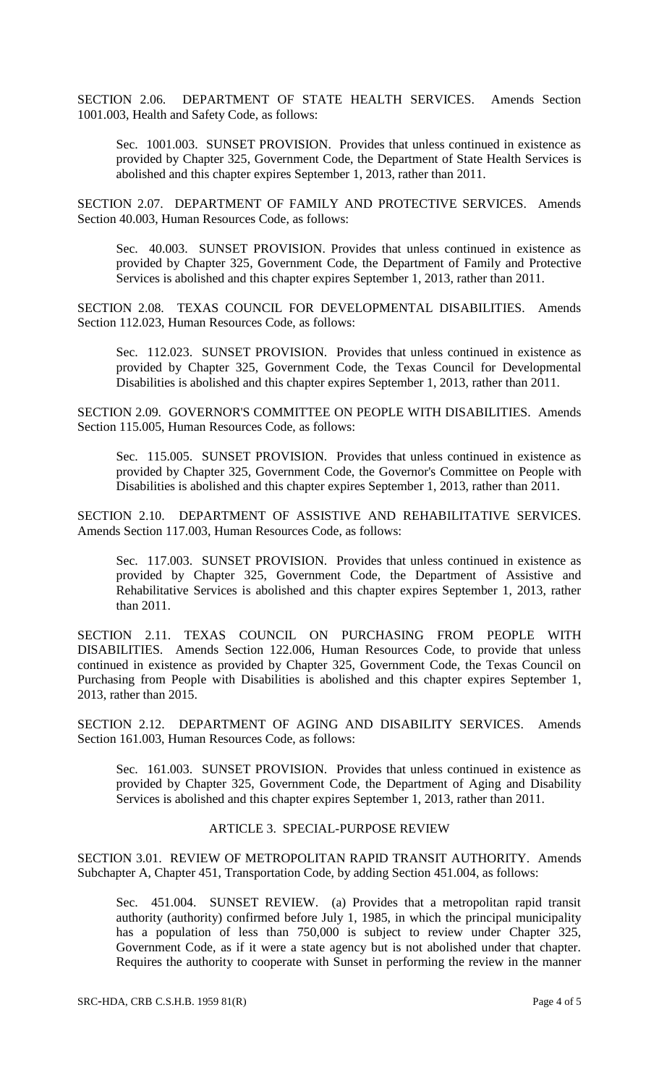SECTION 2.06. DEPARTMENT OF STATE HEALTH SERVICES. Amends Section 1001.003, Health and Safety Code, as follows:

Sec. 1001.003. SUNSET PROVISION. Provides that unless continued in existence as provided by Chapter 325, Government Code, the Department of State Health Services is abolished and this chapter expires September 1, 2013, rather than 2011.

SECTION 2.07. DEPARTMENT OF FAMILY AND PROTECTIVE SERVICES. Amends Section 40.003, Human Resources Code, as follows:

Sec. 40.003. SUNSET PROVISION. Provides that unless continued in existence as provided by Chapter 325, Government Code, the Department of Family and Protective Services is abolished and this chapter expires September 1, 2013, rather than 2011.

SECTION 2.08. TEXAS COUNCIL FOR DEVELOPMENTAL DISABILITIES. Amends Section 112.023, Human Resources Code, as follows:

Sec. 112.023. SUNSET PROVISION. Provides that unless continued in existence as provided by Chapter 325, Government Code, the Texas Council for Developmental Disabilities is abolished and this chapter expires September 1, 2013, rather than 2011.

SECTION 2.09. GOVERNOR'S COMMITTEE ON PEOPLE WITH DISABILITIES. Amends Section 115.005, Human Resources Code, as follows:

Sec. 115.005. SUNSET PROVISION. Provides that unless continued in existence as provided by Chapter 325, Government Code, the Governor's Committee on People with Disabilities is abolished and this chapter expires September 1, 2013, rather than 2011.

SECTION 2.10. DEPARTMENT OF ASSISTIVE AND REHABILITATIVE SERVICES. Amends Section 117.003, Human Resources Code, as follows:

Sec. 117.003. SUNSET PROVISION. Provides that unless continued in existence as provided by Chapter 325, Government Code, the Department of Assistive and Rehabilitative Services is abolished and this chapter expires September 1, 2013, rather than 2011.

SECTION 2.11. TEXAS COUNCIL ON PURCHASING FROM PEOPLE WITH DISABILITIES. Amends Section 122.006, Human Resources Code, to provide that unless continued in existence as provided by Chapter 325, Government Code, the Texas Council on Purchasing from People with Disabilities is abolished and this chapter expires September 1, 2013, rather than 2015.

SECTION 2.12. DEPARTMENT OF AGING AND DISABILITY SERVICES. Amends Section 161.003, Human Resources Code, as follows:

Sec. 161.003. SUNSET PROVISION. Provides that unless continued in existence as provided by Chapter 325, Government Code, the Department of Aging and Disability Services is abolished and this chapter expires September 1, 2013, rather than 2011.

#### ARTICLE 3. SPECIAL-PURPOSE REVIEW

SECTION 3.01. REVIEW OF METROPOLITAN RAPID TRANSIT AUTHORITY. Amends Subchapter A, Chapter 451, Transportation Code, by adding Section 451.004, as follows:

Sec. 451.004. SUNSET REVIEW. (a) Provides that a metropolitan rapid transit authority (authority) confirmed before July 1, 1985, in which the principal municipality has a population of less than 750,000 is subject to review under Chapter 325, Government Code, as if it were a state agency but is not abolished under that chapter. Requires the authority to cooperate with Sunset in performing the review in the manner